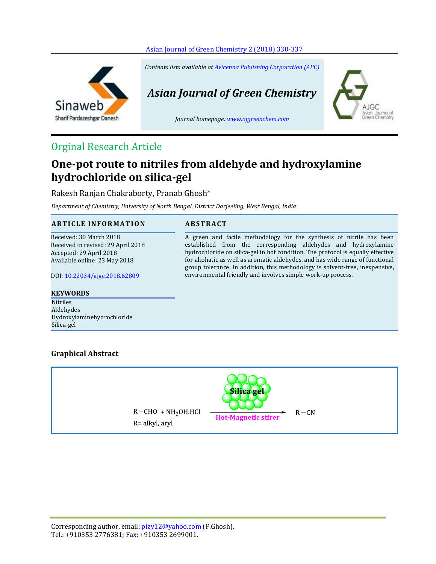



*Contents lists available a[t Avicenna Publishing Corporation \(APC\)](http://www.avicenna.pub/)*

*Asian Journal of Green Chemistry*

*Journal homepage: [www.ajgreenchem.com](http://www.ajgreenchem.com/)*



# **One-pot route to nitriles from aldehyde and hydroxylamine hydrochloride on silica-gel**

Rakesh Ranjan Chakraborty, Pranab Ghosh\*

*Department of Chemistry, University of North Bengal, District Darjeeling, West Bengal, India*

# **A R T I C L E I N F O R M A T I O N A B S T R A C T**

Received: 30 March 2018 Received in revised: 29 April 2018 Accepted: 29 April 2018 Available online: 23 May 2018

DOI: [10.22034/ajgc.2018.62809](http://dx.doi.org/10.22034/ajgc.2018.62809)

# **KEYWORDS**

Nitriles Aldehydes Hydroxylaminehydrochloride Silica-gel

A green and facile methodology for the synthesis of nitrile has been established from the corresponding aldehydes and hydroxylamine hydrochloride on silica-gel in hot condition. The protocol is equally effective for aliphatic as well as aromatic aldehydes, and has wide range of functional group tolerance. In addition, this methodology is solvent-free, inexpensive, environmental friendly and involves simple work-up process.

oumal of

# **Graphical Abstract**



Corresponding author, email: pizy12@yahoo.com (P.Ghosh). Tel.: +910353 2776381; Fax: +910353 2699001.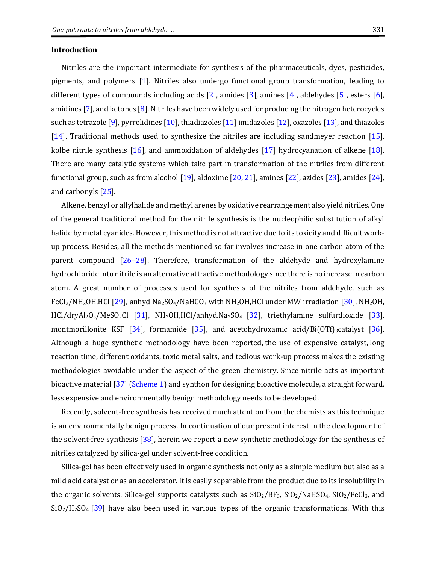Nitriles are the important intermediate for synthesis of the pharmaceuticals, dyes, pesticides, pigments, and polymers [\[1\]](#page-6-0). Nitriles also undergo functional group transformation, leading to different types of compounds including acids [\[2\]](#page-6-1), amides [\[3\]](#page-6-2), amines [\[4\]](#page-6-3), aldehydes [\[5\]](#page-6-4), esters [\[6\]](#page-6-5), amidines [\[7\]](#page-6-6), and ketones [\[8\]](#page-6-7). Nitriles have been widely used for producing the nitrogen heterocycles such as tetrazole [\[9\]](#page-6-8), pyrrolidines [\[10\]](#page-6-9), thiadiazoles [\[11\]](#page-6-10) imidazoles [\[12\]](#page-6-11), oxazoles [\[13\]](#page-6-12), and thiazoles [\[14\]](#page-7-0). Traditional methods used to synthesize the nitriles are including sandmeyer reaction [\[15\]](#page-7-1), kolbe nitrile synthesis [\[16\]](#page-7-2), and ammoxidation of aldehydes [\[17\]](#page-7-3) hydrocyanation of alkene [\[18\]](#page-7-4). There are many catalytic systems which take part in transformation of the nitriles from different functional group, such as from alcohol [\[19\]](#page-7-5), aldoxime [\[20,](#page-7-6) [21\]](#page-7-7), amines [\[22\]](#page-7-8), azides [\[23\]](#page-7-9), amides [\[24\]](#page-7-10), and carbonyls [\[25\]](#page-7-11).

Alkene, benzyl or allylhalide and methyl arenes by oxidative rearrangement also yield nitriles. One of the general traditional method for the nitrile synthesis is the nucleophilic substitution of alkyl halide by metal cyanides. However, this method is not attractive due to its toxicity and difficult workup process. Besides, all the methods mentioned so far involves increase in one carbon atom of the parent compound  $[26-28]$  $[26-28]$  $[26-28]$ . Therefore, transformation of the aldehyde and hydroxylamine hydrochloride into nitrile is an alternative attractive methodology since there is no increase in carbon atom. A great number of processes used for synthesis of the nitriles from aldehyde, such as FeCl<sub>3</sub>/NH<sub>2</sub>OH,HCl [\[29\]](#page-7-14), anhyd Na<sub>2</sub>SO<sub>4</sub>/NaHCO<sub>3</sub> with NH<sub>2</sub>OH,HCl under MW irradiation [\[30\]](#page-7-15), NH<sub>2</sub>OH, HCl/dryAl2O3/MeSO2Cl [\[31\]](#page-7-16), NH2OH,HCl/anhyd.Na2SO4 [\[32\]](#page-7-17), triethylamine sulfurdioxide [\[33\]](#page-7-18), montmorillonite KSF [\[34\]](#page-7-19), formamide [\[35\]](#page-7-20), and acetohydroxamic acid/Bi(OTf)<sub>3</sub>catalyst [\[36\]](#page-7-21). Although a huge synthetic methodology have been reported, the use of expensive catalyst, long reaction time, different oxidants, toxic metal salts, and tedious work-up process makes the existing methodologies avoidable under the aspect of the green chemistry. Since nitrile acts as important bioactive material [\[37\]](#page-7-22) [\(Scheme 1\)](#page-2-0) and synthon for designing bioactive molecule, a straight forward, less expensive and environmentally benign methodology needs to be developed.

Recently, solvent-free synthesis has received much attention from the chemists as this technique is an environmentally benign process. In continuation of our present interest in the development of the solvent-free synthesis [\[38\]](#page-7-23), herein we report a new synthetic methodology for the synthesis of nitriles catalyzed by silica-gel under solvent-free condition.

Silica-gel has been effectively used in organic synthesis not only as a simple medium but also as a mild acid catalyst or as an accelerator. It is easily separable from the product due to its insolubility in the organic solvents. Silica-gel supports catalysts such as  $SiO_2/BF_3$ ,  $SiO_2/NaHSO_4$ ,  $SiO_2/FeCl_3$ , and  $SiO<sub>2</sub>/H<sub>2</sub>SO<sub>4</sub>$  [\[39\]](#page-7-24) have also been used in various types of the organic transformations. With this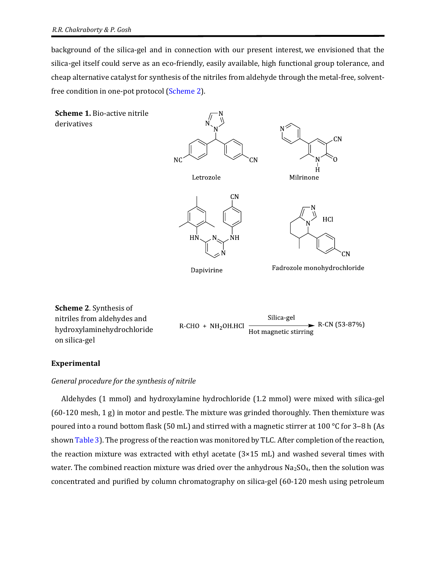background of the silica-gel and in connection with our present interest, we envisioned that the silica-gel itself could serve as an eco-friendly, easily available, high functional group tolerance, and cheap alternative catalyst for synthesis of the nitriles from aldehyde through the metal-free, solventfree condition in one-pot protocol [\(Scheme 2\)](#page-2-1).

<span id="page-2-0"></span>

#### **Experimental**

<span id="page-2-1"></span>on silica-gel

### *General procedure for the synthesis of nitrile*

Aldehydes (1 mmol) and hydroxylamine hydrochloride (1.2 mmol) were mixed with silica-gel  $(60-120 \text{ mesh}, 1 \text{ g})$  in motor and pestle. The mixture was grinded thoroughly. Then themixture was poured into a round bottom flask (50 mL) and stirred with a magnetic stirrer at 100 °C for 3–8 h (As show[n Table](#page-4-0) 3). The progress of the reaction was monitored by TLC. After completion of the reaction, the reaction mixture was extracted with ethyl acetate (3×15 mL) and washed several times with water. The combined reaction mixture was dried over the anhydrous  $Na<sub>2</sub>SO<sub>4</sub>$ , then the solution was concentrated and purified by column chromatography on silica-gel (60-120 mesh using petroleum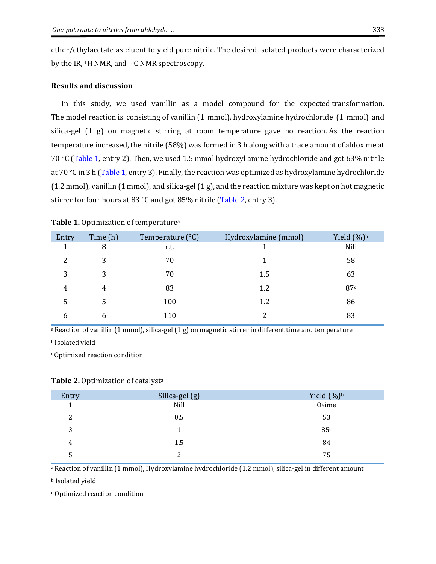ether/ethylacetate as eluent to yield pure nitrile. The desired isolated products were characterized by the IR, 1H NMR, and 13C NMR spectroscopy.

#### **Results and discussion**

In this study, we used vanillin as a model compound for the expected transformation. The model reaction is consisting of vanillin (1 mmol), hydroxylamine hydrochloride (1 mmol) and silica-gel (1 g) on magnetic stirring at room temperature gave no reaction. As the reaction temperature increased, the nitrile (58%) was formed in 3 h along with a trace amount of aldoxime at 70 °C [\(Table 1,](#page-3-0) entry 2). Then, we used 1.5 mmol hydroxyl amine hydrochloride and got 63% nitrile at 70 °C in 3 h [\(Table 1,](#page-3-0) entry 3). Finally, the reaction was optimized as hydroxylamine hydrochloride (1.2 mmol), vanillin (1 mmol), and silica-gel(1 g), and the reaction mixture was kept on hot magnetic stirrer for four hours at 83 °C and got 85% nitrile [\(Table 2,](#page-3-1) entry 3).

| Entry | Time (h) | Temperature $(^{\circ}C)$ | Hydroxylamine (mmol) | Yield $(\%)^b$ |
|-------|----------|---------------------------|----------------------|----------------|
| 1     | 8        | r.t.                      |                      | Nill           |
| 2     | 3        | 70                        |                      | 58             |
| 3     | 3        | 70                        | 1.5                  | 63             |
| 4     | 4        | 83                        | 1.2                  | 87c            |
| 5     | 5        | 100                       | 1.2                  | 86             |
| b     | h        | 110                       | റ                    | 83             |

#### <span id="page-3-0"></span>Table 1. Optimization of temperature<sup>a</sup>

a Reaction of vanillin (1 mmol), silica-gel (1 g) on magnetic stirrer in different time and temperature

<sup>b</sup> Isolated yield

<sup>c</sup>Optimized reaction condition

#### <span id="page-3-1"></span>**Table 2.** Optimization of catalyst<sup>a</sup>

| Entry | Silica-gel (g) | Yield $(\%)^b$ |
|-------|----------------|----------------|
|       | Nill           | Oxime          |
| 2     | 0.5            | 53             |
| 3     |                | 85c            |
| 4     | 1.5            | 84             |
|       | າ              | 75             |

<sup>a</sup> Reaction of vanillin (1 mmol), Hydroxylamine hydrochloride (1.2 mmol), silica-gel in different amount

<sup>b</sup> Isolated yield

<sup>c</sup> Optimized reaction condition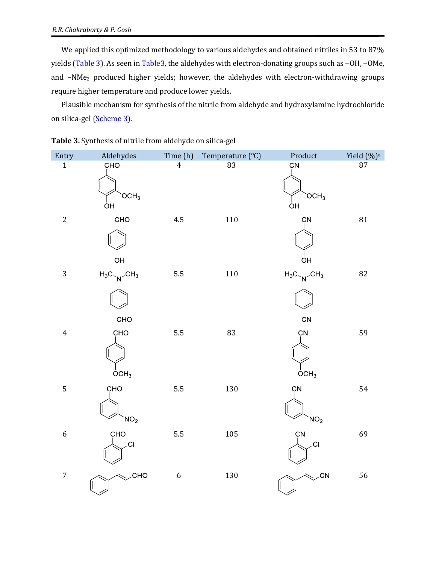We applied this optimized methodology to various aldehydes and obtained nitriles in 53 to 87% yields [\(Table 3\)](#page-4-0). As seen in [Table3,](#page-4-0) the aldehydes with electron-donating groups such as -OH, -OMe, and -NMe<sub>2</sub> produced higher yields; however, the aldehydes with electron-withdrawing groups require higher temperature and produce lower yields.

Plausible mechanism for synthesis of the nitrile from aldehyde and hydroxylamine hydrochloride on silica-gel [\(Scheme](#page-6-13) 3).

| Entry            | Aldehydes                                             | Time (h)         | Temperature (°C) | Product                                       | Yield (%) <sup>a</sup> |
|------------------|-------------------------------------------------------|------------------|------------------|-----------------------------------------------|------------------------|
| $\mathbf{1}$     | CHO<br>OCH <sub>3</sub><br>ÒН                         | $\overline{4}$   | 83               | CN<br>OCH <sub>3</sub><br>ÒH                  | 87                     |
| $\sqrt{2}$       | CHO<br>ÒН                                             | 4.5              | $110\,$          | CN<br>ÒΗ                                      | 81                     |
| $\overline{3}$   | $H_3C \sim N$ <sup>CH<sub>3</sub></sup><br><b>CHO</b> | $5.5\,$          | 110              | $H_3C \sim N$ <sup>CH<sub>3</sub></sup><br>ĊN | 82                     |
| $\pmb{4}$        | CHO<br>OCH <sub>3</sub>                               | 5.5              | 83               | ÇN<br>$\overline{O}CH_3$                      | 59                     |
| 5                | CHO<br>NO <sub>2</sub>                                | 5.5              | 130              | CN<br>NO <sub>2</sub>                         | 54                     |
| $\boldsymbol{6}$ | CHO<br>C <sub>1</sub>                                 | 5.5              | 105              | CN<br>CI                                      | 69                     |
| $\sqrt{ }$       | <b>CHO</b>                                            | $\boldsymbol{6}$ | 130              | .CN                                           | 56                     |

<span id="page-4-0"></span>

| Table 3. Synthesis of nitrile from aldehyde on silica-gel |  |  |  |
|-----------------------------------------------------------|--|--|--|
|-----------------------------------------------------------|--|--|--|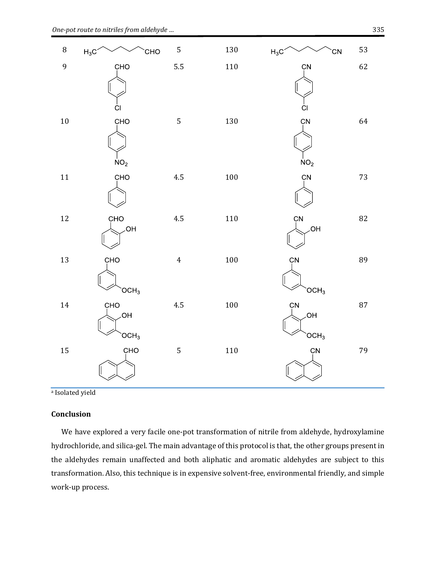

a Isolated yield

### **Conclusion**

We have explored a very facile one-pot transformation of nitrile from aldehyde, hydroxylamine hydrochloride, and silica-gel. The main advantage of this protocol is that, the other groups present in the aldehydes remain unaffected and both aliphatic and aromatic aldehydes are subject to this transformation. Also, this technique is in expensive solvent-free, environmental friendly, and simple work-up process.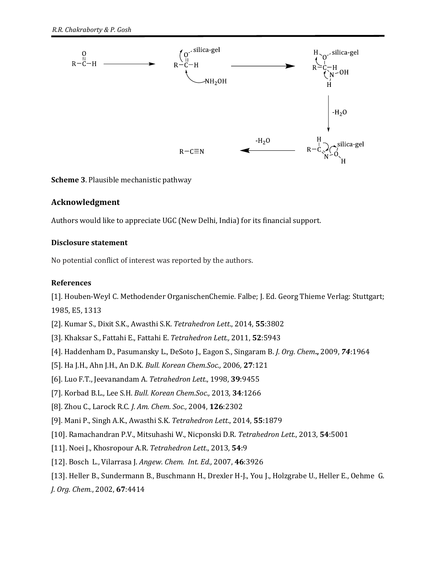

<span id="page-6-13"></span>**Scheme 3**. Plausible mechanistic pathway

# **Acknowledgment**

Authors would like to appreciate UGC (New Delhi, India) for its financial support.

# **Disclosure statement**

No potential conflict of interest was reported by the authors.

# **References**

<span id="page-6-0"></span>[1]. Houben-Weyl C. Methodender OrganischenChemie. Falbe; J. Ed. Georg Thieme Verlag: Stuttgart; 1985, E5, 1313

- <span id="page-6-1"></span>[2]. Kumar S., Dixit S.K., Awasthi S.K. *Tetrahedron Lett*., 2014, **55**:3802
- <span id="page-6-2"></span>[3]. Khaksar S., Fattahi E., Fattahi E. *Tetrahedron Lett.,* 2011, **52**:5943
- <span id="page-6-3"></span>[4]. Haddenham D., Pasumansky L., DeSoto J., Eagon S., Singaram B. *J. Org. Chem***.,** 2009, *74*:1964
- <span id="page-6-4"></span>[5]. Ha J.H., Ahn J.H., An D.K. *Bull. Korean Chem.Soc.,* 2006*,* **27**:121
- <span id="page-6-5"></span>[6]. Luo F.T., Jeevanandam A. *Tetrahedron Lett*., 1998, **39**:9455
- <span id="page-6-6"></span>[7]. Korbad B.L., Lee S.H. *Bull. Korean Chem.Soc.,* 2013*,* **34***:*1266
- <span id="page-6-7"></span>[8]. Zhou C., Larock R.C. *J. Am. Chem. Soc.,* 2004, **126**:2302
- <span id="page-6-8"></span>[9]. Mani P., Singh A.K., Awasthi S.K. *Tetrahedron Lett*., 2014, **55**:1879
- <span id="page-6-9"></span>[10]. Ramachandran P.V., Mitsuhashi W., Nicponski D.R. *Tetrahedron Lett.*, 2013, **54**:5001
- <span id="page-6-10"></span>[11]. Noei J., Khosropour A.R. *Tetrahedron Lett*., 2013, **54**:9
- <span id="page-6-11"></span>[12]. Bosch L., Vilarrasa J. *Angew. Chem. Int. Ed.,* 2007, **46**:3926
- <span id="page-6-12"></span>[13]. Heller B., Sundermann B., Buschmann H., Drexler H-J., You J., Holzgrabe U., Heller E., Oehme G.
- *J. Org. Chem.*, 2002, **67**:4414